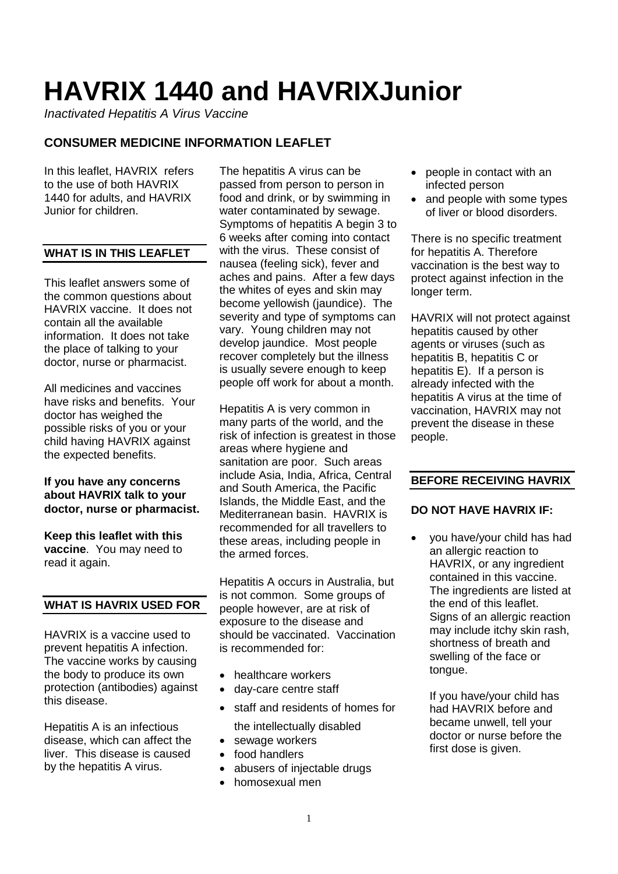# **HAVRIX 1440 and HAVRIXJunior**

*Inactivated Hepatitis A Virus Vaccine*

# **CONSUMER MEDICINE INFORMATION LEAFLET**

In this leaflet, HAVRIX refers to the use of both HAVRIX 1440 for adults, and HAVRIX Junior for children.

# **WHAT IS IN THIS LEAFLET**

This leaflet answers some of the common questions about HAVRIX vaccine. It does not contain all the available information. It does not take the place of talking to your doctor, nurse or pharmacist.

All medicines and vaccines have risks and benefits. Your doctor has weighed the possible risks of you or your child having HAVRIX against the expected benefits.

# **If you have any concerns about HAVRIX talk to your doctor, nurse or pharmacist.**

**Keep this leaflet with this vaccine**. You may need to read it again.

# **WHAT IS HAVRIX USED FOR**

HAVRIX is a vaccine used to prevent hepatitis A infection. The vaccine works by causing the body to produce its own protection (antibodies) against this disease.

Hepatitis A is an infectious disease, which can affect the liver. This disease is caused by the hepatitis A virus.

The hepatitis A virus can be passed from person to person in food and drink, or by swimming in water contaminated by sewage. Symptoms of hepatitis A begin 3 to 6 weeks after coming into contact with the virus. These consist of nausea (feeling sick), fever and aches and pains. After a few days the whites of eyes and skin may become yellowish (jaundice). The severity and type of symptoms can vary. Young children may not develop jaundice. Most people recover completely but the illness is usually severe enough to keep people off work for about a month.

Hepatitis A is very common in many parts of the world, and the risk of infection is greatest in those areas where hygiene and sanitation are poor. Such areas include Asia, India, Africa, Central and South America, the Pacific Islands, the Middle East, and the Mediterranean basin. HAVRIX is recommended for all travellers to these areas, including people in the armed forces.

Hepatitis A occurs in Australia, but is not common. Some groups of people however, are at risk of exposure to the disease and should be vaccinated. Vaccination is recommended for:

- healthcare workers
- day-care centre staff
- staff and residents of homes for
- the intellectually disabled
- sewage workers
- food handlers
- abusers of injectable drugs
- homosexual men
- people in contact with an infected person
- and people with some types of liver or blood disorders.

There is no specific treatment for hepatitis A. Therefore vaccination is the best way to protect against infection in the longer term.

HAVRIX will not protect against hepatitis caused by other agents or viruses (such as hepatitis B, hepatitis C or hepatitis E). If a person is already infected with the hepatitis A virus at the time of vaccination, HAVRIX may not prevent the disease in these people.

# **BEFORE RECEIVING HAVRIX**

# **DO NOT HAVE HAVRIX IF:**

• you have/your child has had an allergic reaction to HAVRIX, or any ingredient contained in this vaccine. The ingredients are listed at the end of this leaflet. Signs of an allergic reaction may include itchy skin rash, shortness of breath and swelling of the face or tongue.

If you have/your child has had HAVRIX before and became unwell, tell your doctor or nurse before the first dose is given.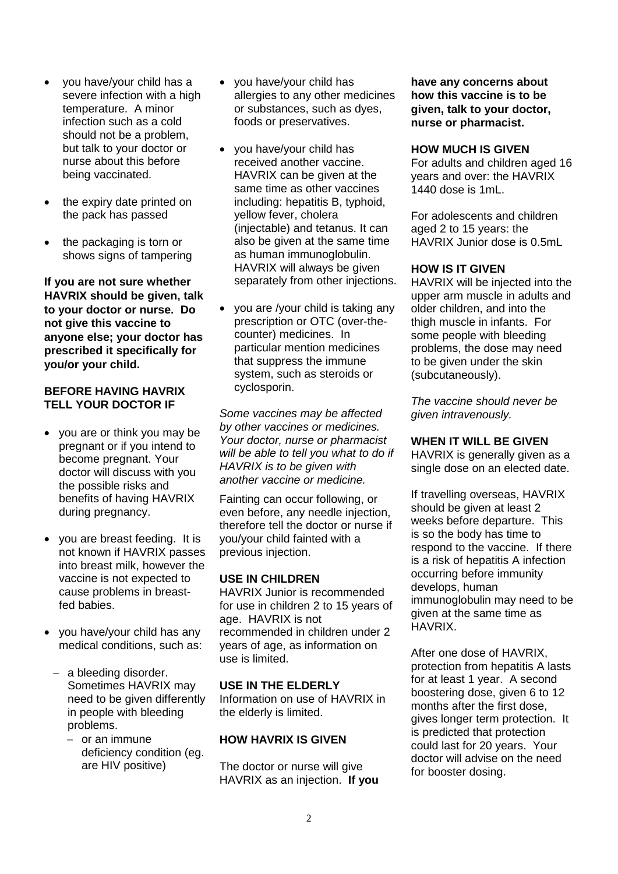- you have/your child has a severe infection with a high temperature. A minor infection such as a cold should not be a problem, but talk to your doctor or nurse about this before being vaccinated.
- the expiry date printed on the pack has passed
- the packaging is torn or shows signs of tampering

**If you are not sure whether HAVRIX should be given, talk to your doctor or nurse. Do not give this vaccine to anyone else; your doctor has prescribed it specifically for you/or your child.**

## **BEFORE HAVING HAVRIX TELL YOUR DOCTOR IF**

- you are or think you may be pregnant or if you intend to become pregnant. Your doctor will discuss with you the possible risks and benefits of having HAVRIX during pregnancy.
- you are breast feeding. It is not known if HAVRIX passes into breast milk, however the vaccine is not expected to cause problems in breastfed babies.
- you have/your child has any medical conditions, such as:
	- − a bleeding disorder. Sometimes HAVRIX may need to be given differently in people with bleeding problems.
		- − or an immune deficiency condition (eg. are HIV positive)
- you have/your child has allergies to any other medicines or substances, such as dyes, foods or preservatives.
- you have/your child has received another vaccine. HAVRIX can be given at the same time as other vaccines including: hepatitis B, typhoid, yellow fever, cholera (injectable) and tetanus. It can also be given at the same time as human immunoglobulin. HAVRIX will always be given separately from other injections.
- you are /your child is taking any prescription or OTC (over-thecounter) medicines. In particular mention medicines that suppress the immune system, such as steroids or cyclosporin.

*Some vaccines may be affected by other vaccines or medicines. Your doctor, nurse or pharmacist will be able to tell you what to do if HAVRIX is to be given with another vaccine or medicine.*

Fainting can occur following, or even before, any needle injection, therefore tell the doctor or nurse if you/your child fainted with a previous injection.

# **USE IN CHILDREN**

HAVRIX Junior is recommended for use in children 2 to 15 years of age. HAVRIX is not recommended in children under 2 years of age, as information on use is limited.

#### **USE IN THE ELDERLY**

Information on use of HAVRIX in the elderly is limited.

#### **HOW HAVRIX IS GIVEN**

The doctor or nurse will give HAVRIX as an injection. **If you**  **have any concerns about how this vaccine is to be given, talk to your doctor, nurse or pharmacist.**

#### **HOW MUCH IS GIVEN**

For adults and children aged 16 years and over: the HAVRIX 1440 dose is 1mL.

For adolescents and children aged 2 to 15 years: the HAVRIX Junior dose is 0.5mL

# **HOW IS IT GIVEN**

HAVRIX will be injected into the upper arm muscle in adults and older children, and into the thigh muscle in infants. For some people with bleeding problems, the dose may need to be given under the skin (subcutaneously).

*The vaccine should never be given intravenously.*

#### **WHEN IT WILL BE GIVEN**

HAVRIX is generally given as a single dose on an elected date.

If travelling overseas, HAVRIX should be given at least 2 weeks before departure. This is so the body has time to respond to the vaccine. If there is a risk of hepatitis A infection occurring before immunity develops, human immunoglobulin may need to be given at the same time as HAVRIX.

After one dose of HAVRIX, protection from hepatitis A lasts for at least 1 year. A second boostering dose, given 6 to 12 months after the first dose, gives longer term protection. It is predicted that protection could last for 20 years. Your doctor will advise on the need for booster dosing.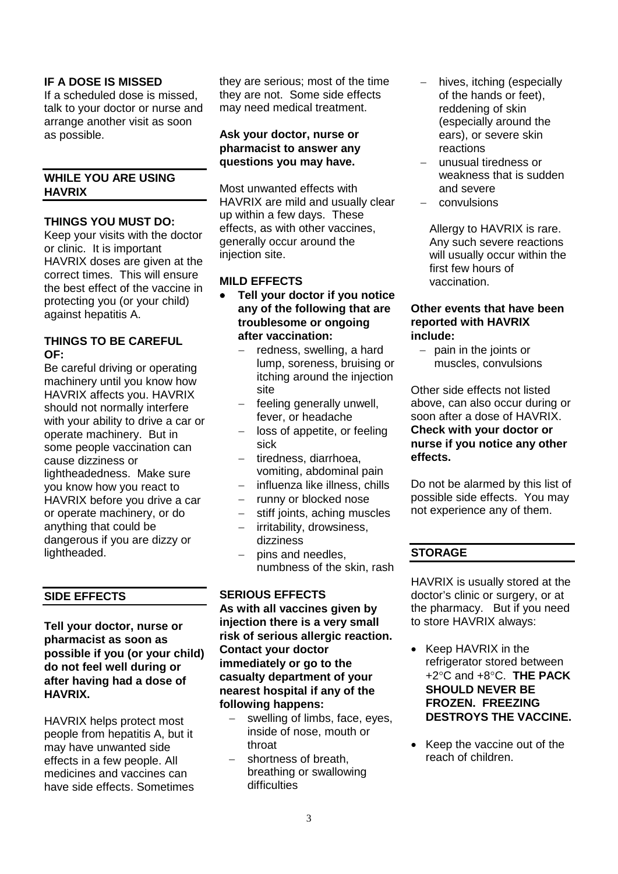# **IF A DOSE IS MISSED**

If a scheduled dose is missed, talk to your doctor or nurse and arrange another visit as soon as possible.

# **WHILE YOU ARE USING HAVRIX**

## **THINGS YOU MUST DO:**

Keep your visits with the doctor or clinic. It is important HAVRIX doses are given at the correct times. This will ensure the best effect of the vaccine in protecting you (or your child) against hepatitis A.

#### **THINGS TO BE CAREFUL OF:**

Be careful driving or operating machinery until you know how HAVRIX affects you. HAVRIX should not normally interfere with your ability to drive a car or operate machinery. But in some people vaccination can cause dizziness or lightheadedness. Make sure you know how you react to HAVRIX before you drive a car or operate machinery, or do anything that could be dangerous if you are dizzy or lightheaded.

# **SIDE EFFECTS**

**Tell your doctor, nurse or pharmacist as soon as possible if you (or your child) do not feel well during or after having had a dose of HAVRIX.** 

HAVRIX helps protect most people from hepatitis A, but it may have unwanted side effects in a few people. All medicines and vaccines can have side effects. Sometimes they are serious; most of the time they are not. Some side effects may need medical treatment.

# **Ask your doctor, nurse or pharmacist to answer any questions you may have.**

Most unwanted effects with HAVRIX are mild and usually clear up within a few days. These effects, as with other vaccines, generally occur around the injection site.

# **MILD EFFECTS**

- **Tell your doctor if you notice any of the following that are troublesome or ongoing after vaccination:**
	- − redness, swelling, a hard lump, soreness, bruising or itching around the injection site
	- feeling generally unwell, fever, or headache
	- loss of appetite, or feeling sick
	- − tiredness, diarrhoea, vomiting, abdominal pain
	- influenza like illness, chills
	- runny or blocked nose
	- stiff joints, aching muscles

numbness of the skin, rash

- − irritability, drowsiness,
- dizziness − pins and needles,

# **SERIOUS EFFECTS**

**As with all vaccines given by injection there is a very small risk of serious allergic reaction. Contact your doctor immediately or go to the casualty department of your nearest hospital if any of the following happens:**

- − swelling of limbs, face, eyes, inside of nose, mouth or throat
- − shortness of breath, breathing or swallowing difficulties
- hives, itching (especially of the hands or feet), reddening of skin (especially around the ears), or severe skin reactions
- − unusual tiredness or weakness that is sudden and severe
- − convulsions

Allergy to HAVRIX is rare. Any such severe reactions will usually occur within the first few hours of vaccination.

#### **Other events that have been reported with HAVRIX include:**

− pain in the joints or muscles, convulsions

Other side effects not listed above, can also occur during or soon after a dose of HAVRIX. **Check with your doctor or nurse if you notice any other effects.**

Do not be alarmed by this list of possible side effects. You may not experience any of them.

# **STORAGE**

HAVRIX is usually stored at the doctor's clinic or surgery, or at the pharmacy. But if you need to store HAVRIX always:

- Keep HAVRIX in the refrigerator stored between +2°C and +8°C. **THE PACK SHOULD NEVER BE FROZEN. FREEZING DESTROYS THE VACCINE.**
- Keep the vaccine out of the reach of children.